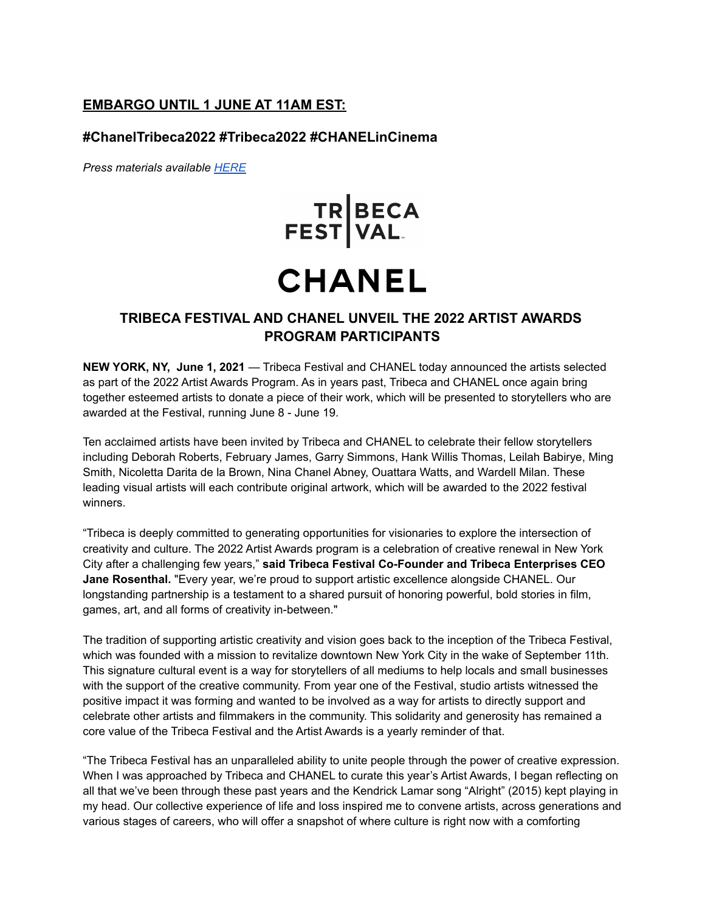# **EMBARGO UNTIL 1 JUNE AT 11AM EST:**

### **#ChanelTribeca2022 #Tribeca2022 #CHANELinCinema**

*Press materials available [HERE](https://app.box.com/s/0oaoki43lsxzvom8v321t7hv5860bxpo)*

# TR BECA<br>FEST VAL

# **CHANEL**

# **TRIBECA FESTIVAL AND CHANEL UNVEIL THE 2022 ARTIST AWARDS PROGRAM PARTICIPANTS**

**NEW YORK, NY, June 1, 2021** — Tribeca Festival and CHANEL today announced the artists selected as part of the 2022 Artist Awards Program. As in years past, Tribeca and CHANEL once again bring together esteemed artists to donate a piece of their work, which will be presented to storytellers who are awarded at the Festival, running June 8 - June 19.

Ten acclaimed artists have been invited by Tribeca and CHANEL to celebrate their fellow storytellers including Deborah Roberts, February James, Garry Simmons, Hank Willis Thomas, Leilah Babirye, Ming Smith, Nicoletta Darita de la Brown, Nina Chanel Abney, Ouattara Watts, and Wardell Milan. These leading visual artists will each contribute original artwork, which will be awarded to the 2022 festival winners.

"Tribeca is deeply committed to generating opportunities for visionaries to explore the intersection of creativity and culture. The 2022 Artist Awards program is a celebration of creative renewal in New York City after a challenging few years," **said Tribeca Festival Co-Founder and Tribeca Enterprises CEO Jane Rosenthal.** "Every year, we're proud to support artistic excellence alongside CHANEL. Our longstanding partnership is a testament to a shared pursuit of honoring powerful, bold stories in film, games, art, and all forms of creativity in-between."

The tradition of supporting artistic creativity and vision goes back to the inception of the Tribeca Festival, which was founded with a mission to revitalize downtown New York City in the wake of September 11th. This signature cultural event is a way for storytellers of all mediums to help locals and small businesses with the support of the creative community. From year one of the Festival, studio artists witnessed the positive impact it was forming and wanted to be involved as a way for artists to directly support and celebrate other artists and filmmakers in the community. This solidarity and generosity has remained a core value of the Tribeca Festival and the Artist Awards is a yearly reminder of that.

"The Tribeca Festival has an unparalleled ability to unite people through the power of creative expression. When I was approached by Tribeca and CHANEL to curate this year's Artist Awards, I began reflecting on all that we've been through these past years and the Kendrick Lamar song "Alright" (2015) kept playing in my head. Our collective experience of life and loss inspired me to convene artists, across generations and various stages of careers, who will offer a snapshot of where culture is right now with a comforting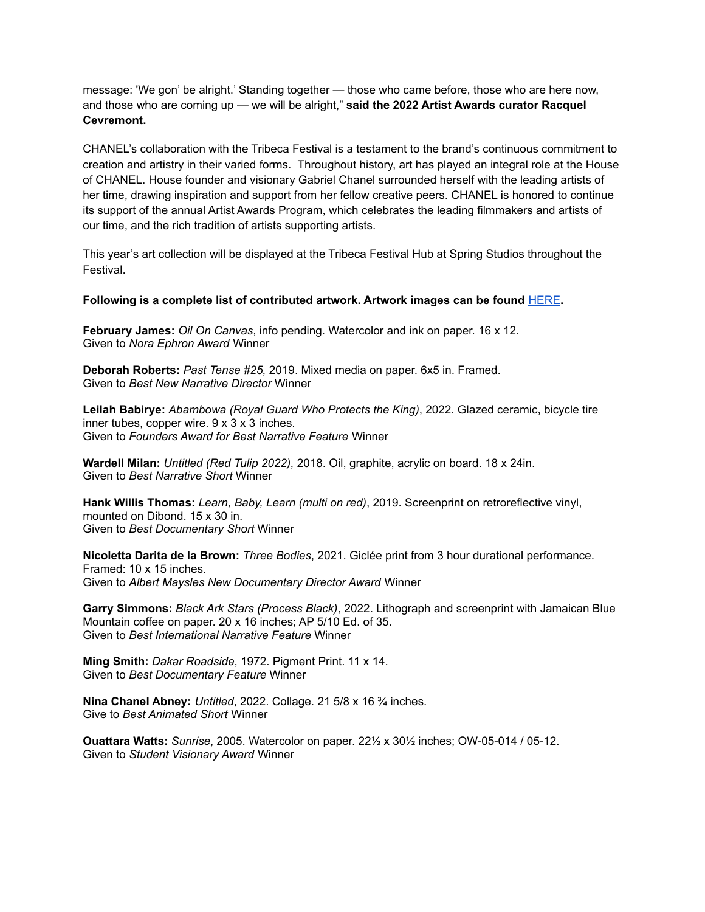message: 'We gon' be alright.' Standing together — those who came before, those who are here now, and those who are coming up — we will be alright," **said the 2022 Artist Awards curator Racquel Cevremont.**

CHANEL's collaboration with the Tribeca Festival is a testament to the brand's continuous commitment to creation and artistry in their varied forms. Throughout history, art has played an integral role at the House of CHANEL. House founder and visionary Gabriel Chanel surrounded herself with the leading artists of her time, drawing inspiration and support from her fellow creative peers. CHANEL is honored to continue its support of the annual Artist Awards Program, which celebrates the leading filmmakers and artists of our time, and the rich tradition of artists supporting artists.

This year's art collection will be displayed at the Tribeca Festival Hub at Spring Studios throughout the Festival.

#### **Following is a complete list of contributed artwork. Artwork images can be found** [HERE](https://tribecafilm.com/artawards)**.**

**February James:** *Oil On Canvas*, info pending. Watercolor and ink on paper. 16 x 12. Given to *Nora Ephron Award* Winner

**Deborah Roberts:** *Past Tense #25,* 2019. Mixed media on paper. 6x5 in. Framed. Given to *Best New Narrative Director* Winner

**Leilah Babirye:** *Abambowa (Royal Guard Who Protects the King)*, 2022. Glazed ceramic, bicycle tire inner tubes, copper wire.  $9 \times 3 \times 3$  inches. Given to *Founders Award for Best Narrative Feature* Winner

**Wardell Milan:** *Untitled (Red Tulip 2022),* 2018. Oil, graphite, acrylic on board. 18 x 24in. Given to *Best Narrative Short* Winner

**Hank Willis Thomas:** *Learn, Baby, Learn (multi on red)*, 2019. Screenprint on retroreflective vinyl, mounted on Dibond. 15 x 30 in. Given to *Best Documentary Short* Winner

**Nicoletta Darita de la Brown:** *Three Bodies*, 2021. Giclée print from 3 hour durational performance. Framed: 10 x 15 inches. Given to *Albert Maysles New Documentary Director Award* Winner

**Garry Simmons:** *Black Ark Stars (Process Black)*, 2022. Lithograph and screenprint with Jamaican Blue Mountain coffee on paper. 20 x 16 inches; AP 5/10 Ed. of 35. Given to *Best International Narrative Feature* Winner

**Ming Smith:** *Dakar Roadside*, 1972. Pigment Print. 11 x 14. Given to *Best Documentary Feature* Winner

**Nina Chanel Abney:** *Untitled*, 2022. Collage. 21 5/8 x 16 ¾ inches. Give to *Best Animated Short* Winner

**Ouattara Watts:** *Sunrise*, 2005. Watercolor on paper. 22½ x 30½ inches; OW-05-014 / 05-12. Given to *Student Visionary Award* Winner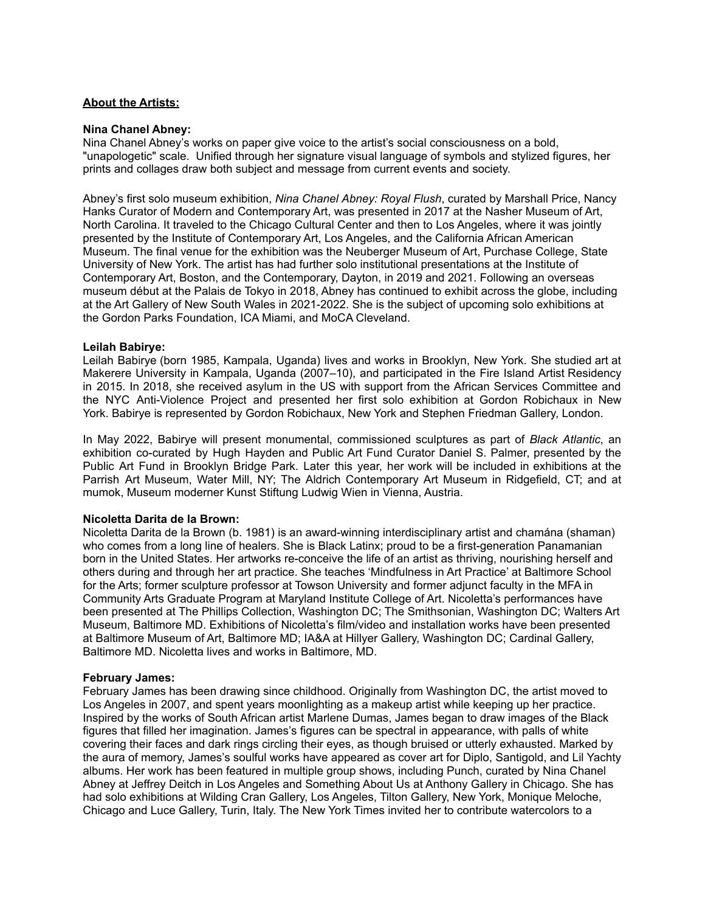#### **About the Artists:**

#### **Nina Chanel Abney:**

Nina Chanel Abney's works on paper give voice to the artist's social consciousness on a bold, "unapologetic" scale. Unified through her signature visual language of symbols and stylized figures, her prints and collages draw both subject and message from current events and society.

Abney's first solo museum exhibition, *Nina Chanel Abney: Royal Flush*, curated by Marshall Price, Nancy Hanks Curator of Modern and Contemporary Art, was presented in 2017 at the Nasher Museum of Art, North Carolina. It traveled to the Chicago Cultural Center and then to Los Angeles, where it was jointly presented by the Institute of Contemporary Art, Los Angeles, and the California African American Museum. The final venue for the exhibition was the Neuberger Museum of Art, Purchase College, State University of New York. The artist has had further solo institutional presentations at the Institute of Contemporary Art, Boston, and the Contemporary, Dayton, in 2019 and 2021. Following an overseas museum début at the Palais de Tokyo in 2018, Abney has continued to exhibit across the globe, including at the Art Gallery of New South Wales in 2021-2022. She is the subject of upcoming solo exhibitions at the Gordon Parks Foundation, ICA Miami, and MoCA Cleveland.

#### **Leilah Babirye:**

Leilah Babirye (born 1985, Kampala, Uganda) lives and works in Brooklyn, New York. She studied art at Makerere University in Kampala, Uganda (2007–10), and participated in the Fire Island Artist Residency in 2015. In 2018, she received asylum in the US with support from the African Services Committee and the NYC Anti-Violence Project and presented her first solo exhibition at Gordon Robichaux in New York. Babirye is represented by Gordon Robichaux, New York and Stephen Friedman Gallery, London.

In May 2022, Babirye will present monumental, commissioned sculptures as part of *Black Atlantic*, an exhibition co-curated by Hugh Hayden and Public Art Fund Curator Daniel S. Palmer, presented by the Public Art Fund in Brooklyn Bridge Park. Later this year, her work will be included in exhibitions at the Parrish Art Museum, Water Mill, NY; The Aldrich Contemporary Art Museum in Ridgefield, CT; and at mumok, Museum moderner Kunst Stiftung Ludwig Wien in Vienna, Austria.

#### **Nicoletta Darita de la Brown:**

Nicoletta Darita de la Brown (b. 1981) is an award-winning interdisciplinary artist and chamána (shaman) who comes from a long line of healers. She is Black Latinx; proud to be a first-generation Panamanian born in the United States. Her artworks re-conceive the life of an artist as thriving, nourishing herself and others during and through her art practice. She teaches 'Mindfulness in Art Practice' at Baltimore School for the Arts; former sculpture professor at Towson University and former adjunct faculty in the MFA in Community Arts Graduate Program at Maryland Institute College of Art. Nicoletta's performances have been presented at The Phillips Collection, Washington DC; The Smithsonian, Washington DC; Walters Art Museum, Baltimore MD. Exhibitions of Nicoletta's film/video and installation works have been presented at Baltimore Museum of Art, Baltimore MD; IA&A at Hillyer Gallery, Washington DC; Cardinal Gallery, Baltimore MD. Nicoletta lives and works in Baltimore, MD.

#### **February James:**

February James has been drawing since childhood. Originally from Washington DC, the artist moved to Los Angeles in 2007, and spent years moonlighting as a makeup artist while keeping up her practice. Inspired by the works of South African artist Marlene Dumas, James began to draw images of the Black figures that filled her imagination. James's figures can be spectral in appearance, with palls of white covering their faces and dark rings circling their eyes, as though bruised or utterly exhausted. Marked by the aura of memory, James's soulful works have appeared as cover art for Diplo, Santigold, and Lil Yachty albums. Her work has been featured in multiple group shows, including Punch, curated by Nina Chanel Abney at Jeffrey Deitch in Los Angeles and Something About Us at Anthony Gallery in Chicago. She has had solo exhibitions at Wilding Cran Gallery, Los Angeles, Tilton Gallery, New York, Monique Meloche, Chicago and Luce Gallery, Turin, Italy. The New York Times invited her to contribute watercolors to a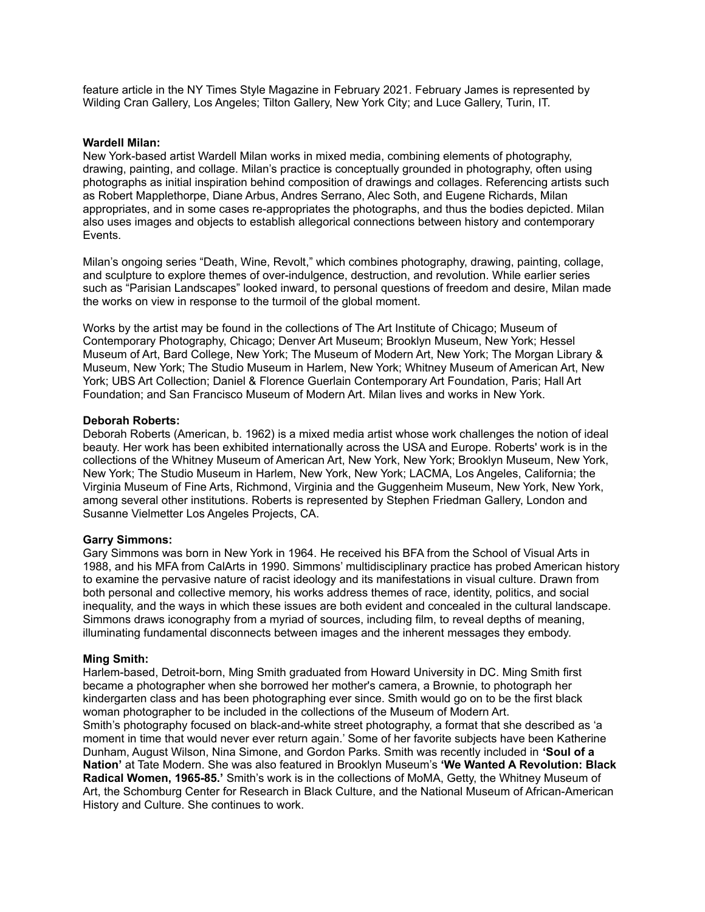feature article in the NY Times Style Magazine in February 2021. February James is represented by Wilding Cran Gallery, Los Angeles; Tilton Gallery, New York City; and Luce Gallery, Turin, IT.

#### **Wardell Milan:**

New York-based artist Wardell Milan works in mixed media, combining elements of photography, drawing, painting, and collage. Milan's practice is conceptually grounded in photography, often using photographs as initial inspiration behind composition of drawings and collages. Referencing artists such as Robert Mapplethorpe, Diane Arbus, Andres Serrano, Alec Soth, and Eugene Richards, Milan appropriates, and in some cases re-appropriates the photographs, and thus the bodies depicted. Milan also uses images and objects to establish allegorical connections between history and contemporary Events.

Milan's ongoing series "Death, Wine, Revolt," which combines photography, drawing, painting, collage, and sculpture to explore themes of over-indulgence, destruction, and revolution. While earlier series such as "Parisian Landscapes" looked inward, to personal questions of freedom and desire, Milan made the works on view in response to the turmoil of the global moment.

Works by the artist may be found in the collections of The Art Institute of Chicago; Museum of Contemporary Photography, Chicago; Denver Art Museum; Brooklyn Museum, New York; Hessel Museum of Art, Bard College, New York; The Museum of Modern Art, New York; The Morgan Library & Museum, New York; The Studio Museum in Harlem, New York; Whitney Museum of American Art, New York; UBS Art Collection; Daniel & Florence Guerlain Contemporary Art Foundation, Paris; Hall Art Foundation; and San Francisco Museum of Modern Art. Milan lives and works in New York.

#### **Deborah Roberts:**

Deborah Roberts (American, b. 1962) is a mixed media artist whose work challenges the notion of ideal beauty. Her work has been exhibited internationally across the USA and Europe. Roberts' work is in the collections of the Whitney Museum of American Art, New York, New York; Brooklyn Museum, New York, New York; The Studio Museum in Harlem, New York, New York; LACMA, Los Angeles, California; the Virginia Museum of Fine Arts, Richmond, Virginia and the Guggenheim Museum, New York, New York, among several other institutions. Roberts is represented by Stephen Friedman Gallery, London and Susanne Vielmetter Los Angeles Projects, CA.

#### **Garry Simmons:**

Gary Simmons was born in New York in 1964. He received his BFA from the School of Visual Arts in 1988, and his MFA from CalArts in 1990. Simmons' multidisciplinary practice has probed American history to examine the pervasive nature of racist ideology and its manifestations in visual culture. Drawn from both personal and collective memory, his works address themes of race, identity, politics, and social inequality, and the ways in which these issues are both evident and concealed in the cultural landscape. Simmons draws iconography from a myriad of sources, including film, to reveal depths of meaning, illuminating fundamental disconnects between images and the inherent messages they embody.

#### **Ming Smith:**

Harlem-based, Detroit-born, Ming Smith graduated from Howard University in DC. Ming Smith first became a photographer when she borrowed her mother's camera, a Brownie, to photograph her kindergarten class and has been photographing ever since. Smith would go on to be the first black woman photographer to be included in the collections of the Museum of Modern Art. Smith's photography focused on black-and-white street photography, a format that she described as 'a moment in time that would never ever return again.' Some of her favorite subjects have been Katherine Dunham, August Wilson, Nina Simone, and Gordon Parks. Smith was recently included in **'Soul of a Nation'** at Tate Modern. She was also featured in Brooklyn Museum's **'We Wanted A Revolution: Black Radical Women, 1965-85.'** Smith's work is in the collections of MoMA, Getty, the Whitney Museum of Art, the Schomburg Center for Research in Black Culture, and the National Museum of African-American History and Culture. She continues to work.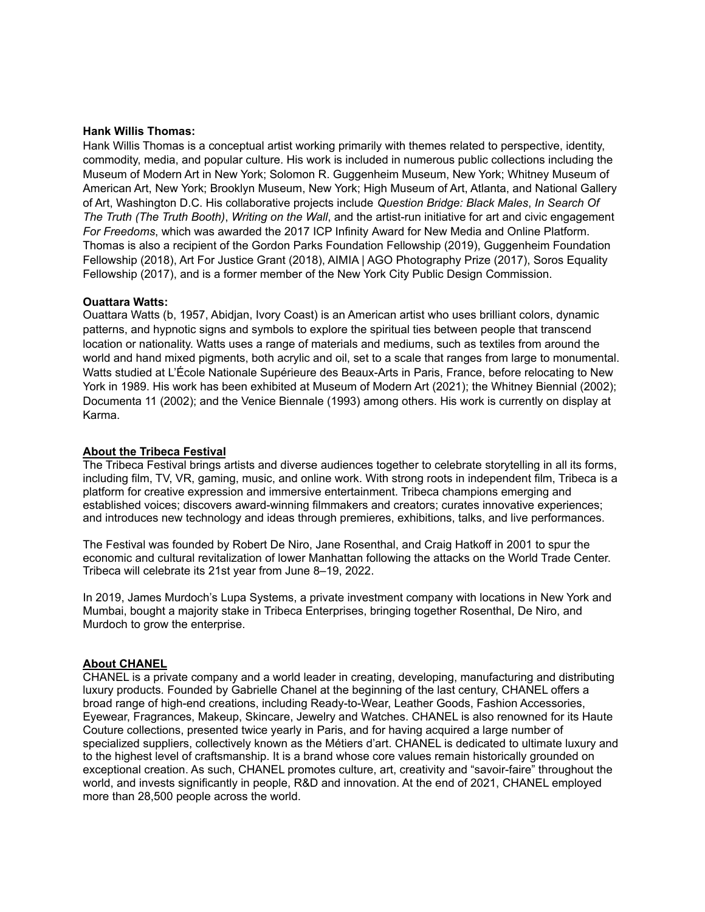#### **Hank Willis Thomas:**

Hank Willis Thomas is a conceptual artist working primarily with themes related to perspective, identity, commodity, media, and popular culture. His work is included in numerous public collections including the Museum of Modern Art in New York; Solomon R. Guggenheim Museum, New York; Whitney Museum of American Art, New York; Brooklyn Museum, New York; High Museum of Art, Atlanta, and National Gallery of Art, Washington D.C. His collaborative projects include *Question Bridge: Black Males*, *In Search Of The Truth (The Truth Booth)*, *Writing on the Wall*, and the artist-run initiative for art and civic engagement *For Freedoms*, which was awarded the 2017 ICP Infinity Award for New Media and Online Platform. Thomas is also a recipient of the Gordon Parks Foundation Fellowship (2019), Guggenheim Foundation Fellowship (2018), Art For Justice Grant (2018), AIMIA | AGO Photography Prize (2017), Soros Equality Fellowship (2017), and is a former member of the New York City Public Design Commission.

#### **Ouattara Watts:**

Ouattara Watts (b, 1957, Abidjan, Ivory Coast) is an American artist who uses brilliant colors, dynamic patterns, and hypnotic signs and symbols to explore the spiritual ties between people that transcend location or nationality. Watts uses a range of materials and mediums, such as textiles from around the world and hand mixed pigments, both acrylic and oil, set to a scale that ranges from large to monumental. Watts studied at L'École Nationale Supérieure des Beaux-Arts in Paris, France, before relocating to New York in 1989. His work has been exhibited at Museum of Modern Art (2021); the Whitney Biennial (2002); Documenta 11 (2002); and the Venice Biennale (1993) among others. His work is currently on display at Karma.

#### **About the Tribeca Festival**

The Tribeca Festival brings artists and diverse audiences together to celebrate storytelling in all its forms, including film, TV, VR, gaming, music, and online work. With strong roots in independent film, Tribeca is a platform for creative expression and immersive entertainment. Tribeca champions emerging and established voices; discovers award-winning filmmakers and creators; curates innovative experiences; and introduces new technology and ideas through premieres, exhibitions, talks, and live performances.

The Festival was founded by Robert De Niro, Jane Rosenthal, and Craig Hatkoff in 2001 to spur the economic and cultural revitalization of lower Manhattan following the attacks on the World Trade Center. Tribeca will celebrate its 21st year from June 8–19, 2022.

In 2019, James Murdoch's Lupa Systems, a private investment company with locations in New York and Mumbai, bought a majority stake in Tribeca Enterprises, bringing together Rosenthal, De Niro, and Murdoch to grow the enterprise.

#### **About CHANEL**

CHANEL is a private company and a world leader in creating, developing, manufacturing and distributing luxury products. Founded by Gabrielle Chanel at the beginning of the last century, CHANEL offers a broad range of high-end creations, including Ready-to-Wear, Leather Goods, Fashion Accessories, Eyewear, Fragrances, Makeup, Skincare, Jewelry and Watches. CHANEL is also renowned for its Haute Couture collections, presented twice yearly in Paris, and for having acquired a large number of specialized suppliers, collectively known as the Métiers d'art. CHANEL is dedicated to ultimate luxury and to the highest level of craftsmanship. It is a brand whose core values remain historically grounded on exceptional creation. As such, CHANEL promotes culture, art, creativity and "savoir-faire" throughout the world, and invests significantly in people, R&D and innovation. At the end of 2021, CHANEL employed more than 28,500 people across the world.